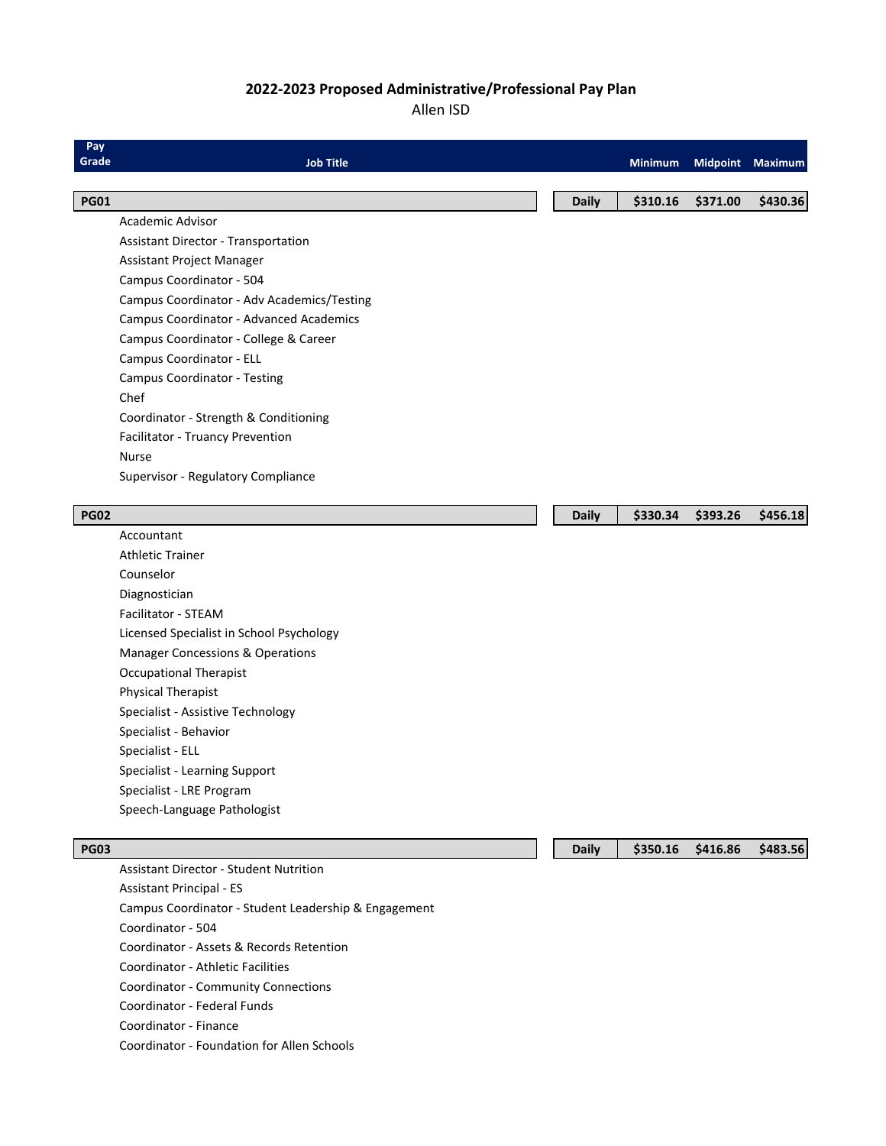### **2022-2023 Proposed Administrative/Professional Pay Plan**

#### Allen ISD

| Pay<br>Grade | <b>Job Title</b>                                     |              | <b>Minimum</b> |          | Midpoint Maximum |
|--------------|------------------------------------------------------|--------------|----------------|----------|------------------|
| <b>PG01</b>  |                                                      | <b>Daily</b> | \$310.16       | \$371.00 | \$430.36         |
|              | Academic Advisor                                     |              |                |          |                  |
|              | <b>Assistant Director - Transportation</b>           |              |                |          |                  |
|              | Assistant Project Manager                            |              |                |          |                  |
|              | Campus Coordinator - 504                             |              |                |          |                  |
|              | Campus Coordinator - Adv Academics/Testing           |              |                |          |                  |
|              | Campus Coordinator - Advanced Academics              |              |                |          |                  |
|              | Campus Coordinator - College & Career                |              |                |          |                  |
|              | Campus Coordinator - ELL                             |              |                |          |                  |
|              | Campus Coordinator - Testing                         |              |                |          |                  |
|              | Chef                                                 |              |                |          |                  |
|              | Coordinator - Strength & Conditioning                |              |                |          |                  |
|              | Facilitator - Truancy Prevention                     |              |                |          |                  |
|              | <b>Nurse</b>                                         |              |                |          |                  |
|              | Supervisor - Regulatory Compliance                   |              |                |          |                  |
|              |                                                      |              |                |          |                  |
| <b>PG02</b>  |                                                      | <b>Daily</b> | \$330.34       | \$393.26 | \$456.18         |
|              | Accountant                                           |              |                |          |                  |
|              | <b>Athletic Trainer</b>                              |              |                |          |                  |
|              | Counselor                                            |              |                |          |                  |
|              | Diagnostician                                        |              |                |          |                  |
|              | Facilitator - STEAM                                  |              |                |          |                  |
|              | Licensed Specialist in School Psychology             |              |                |          |                  |
|              | <b>Manager Concessions &amp; Operations</b>          |              |                |          |                  |
|              | <b>Occupational Therapist</b>                        |              |                |          |                  |
|              | Physical Therapist                                   |              |                |          |                  |
|              | Specialist - Assistive Technology                    |              |                |          |                  |
|              | Specialist - Behavior                                |              |                |          |                  |
|              | Specialist - ELL                                     |              |                |          |                  |
|              | Specialist - Learning Support                        |              |                |          |                  |
|              | Specialist - LRE Program                             |              |                |          |                  |
|              | Speech-Language Pathologist                          |              |                |          |                  |
|              |                                                      |              |                |          |                  |
| <b>PG03</b>  |                                                      | <b>Daily</b> | \$350.16       | \$416.86 | \$483.56         |
|              | <b>Assistant Director - Student Nutrition</b>        |              |                |          |                  |
|              | <b>Assistant Principal - ES</b>                      |              |                |          |                  |
|              | Campus Coordinator - Student Leadership & Engagement |              |                |          |                  |
|              | Coordinator - 504                                    |              |                |          |                  |
|              | Coordinator - Assets & Records Retention             |              |                |          |                  |
|              | <b>Coordinator - Athletic Facilities</b>             |              |                |          |                  |
|              | <b>Coordinator - Community Connections</b>           |              |                |          |                  |

Coordinator - Federal Funds Coordinator - Finance

Coordinator - Foundation for Allen Schools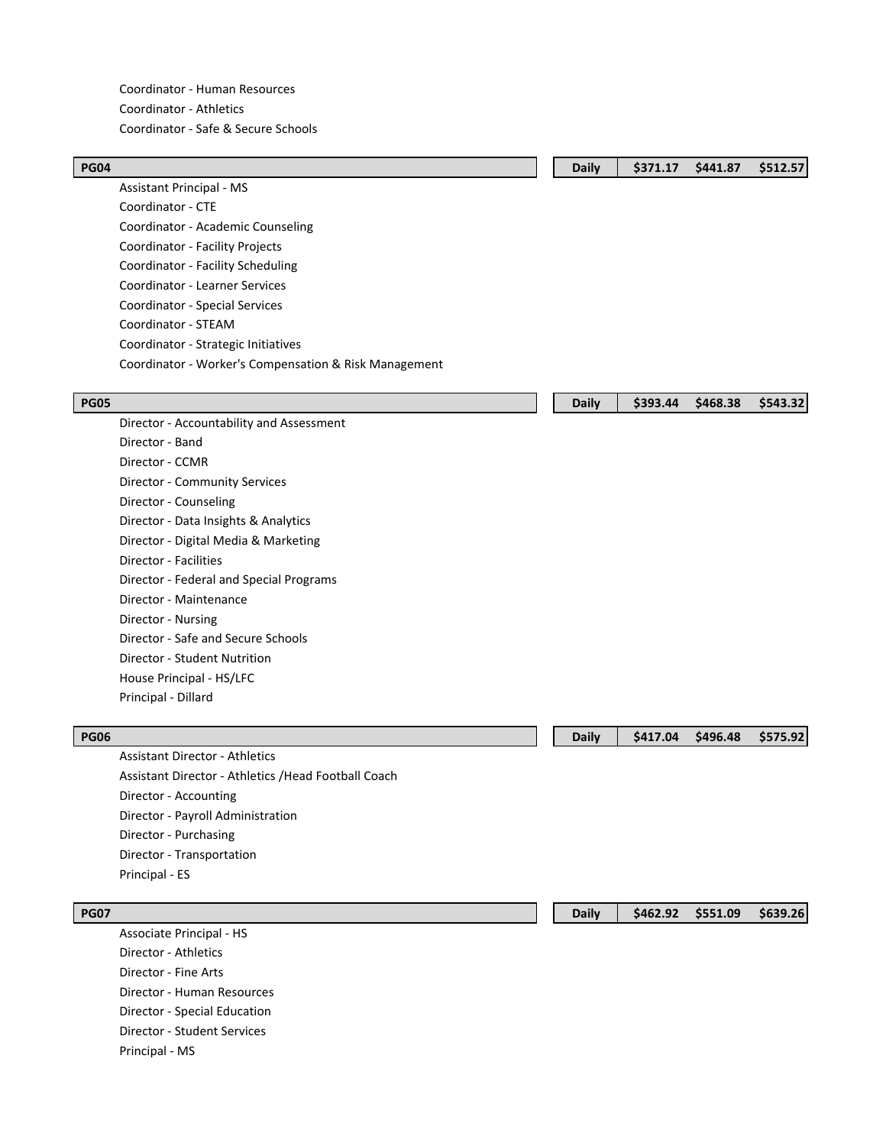Coordinator - Human Resources Coordinator - Athletics Coordinator - Safe & Secure Schools

| <b>PG04</b> |                                                       | <b>Daily</b> | \$371.17 | \$441.87 | \$512.57 |
|-------------|-------------------------------------------------------|--------------|----------|----------|----------|
|             | <b>Assistant Principal - MS</b>                       |              |          |          |          |
|             | Coordinator - CTE                                     |              |          |          |          |
|             | Coordinator - Academic Counseling                     |              |          |          |          |
|             | Coordinator - Facility Projects                       |              |          |          |          |
|             | Coordinator - Facility Scheduling                     |              |          |          |          |
|             | Coordinator - Learner Services                        |              |          |          |          |
|             | Coordinator - Special Services                        |              |          |          |          |
|             | Coordinator - STEAM                                   |              |          |          |          |
|             | Coordinator - Strategic Initiatives                   |              |          |          |          |
|             | Coordinator - Worker's Compensation & Risk Management |              |          |          |          |
|             |                                                       |              |          |          |          |
| <b>PG05</b> |                                                       | <b>Daily</b> | \$393.44 | \$468.38 | \$543.32 |
|             | Director - Accountability and Assessment              |              |          |          |          |
|             | Director - Band                                       |              |          |          |          |
|             | Director - CCMR                                       |              |          |          |          |
|             | Director - Community Services                         |              |          |          |          |
|             | Director - Counseling                                 |              |          |          |          |
|             | Director - Data Insights & Analytics                  |              |          |          |          |
|             | Director - Digital Media & Marketing                  |              |          |          |          |
|             | <b>Director - Facilities</b>                          |              |          |          |          |
|             | Director - Federal and Special Programs               |              |          |          |          |
|             | Director - Maintenance                                |              |          |          |          |
|             | Director - Nursing                                    |              |          |          |          |
|             | Director - Safe and Secure Schools                    |              |          |          |          |
|             | Director - Student Nutrition                          |              |          |          |          |
|             | House Principal - HS/LFC                              |              |          |          |          |
|             | Principal - Dillard                                   |              |          |          |          |
|             |                                                       |              |          |          |          |
| <b>PG06</b> |                                                       | <b>Daily</b> | \$417.04 | \$496.48 | \$575.92 |
|             | <b>Assistant Director - Athletics</b>                 |              |          |          |          |
|             | Assistant Director - Athletics / Head Football Coach  |              |          |          |          |
|             | Director - Accounting                                 |              |          |          |          |

Director - Accounting Director - Payroll Administration Director - Purchasing Director - Transportation Principal - ES

Associate Principal - HS Director - Athletics Director - Fine Arts Director - Human Resources Director - Special Education Director - Student Services Principal - MS

**PG07 Daily \$462.92 \$551.09 \$639.26**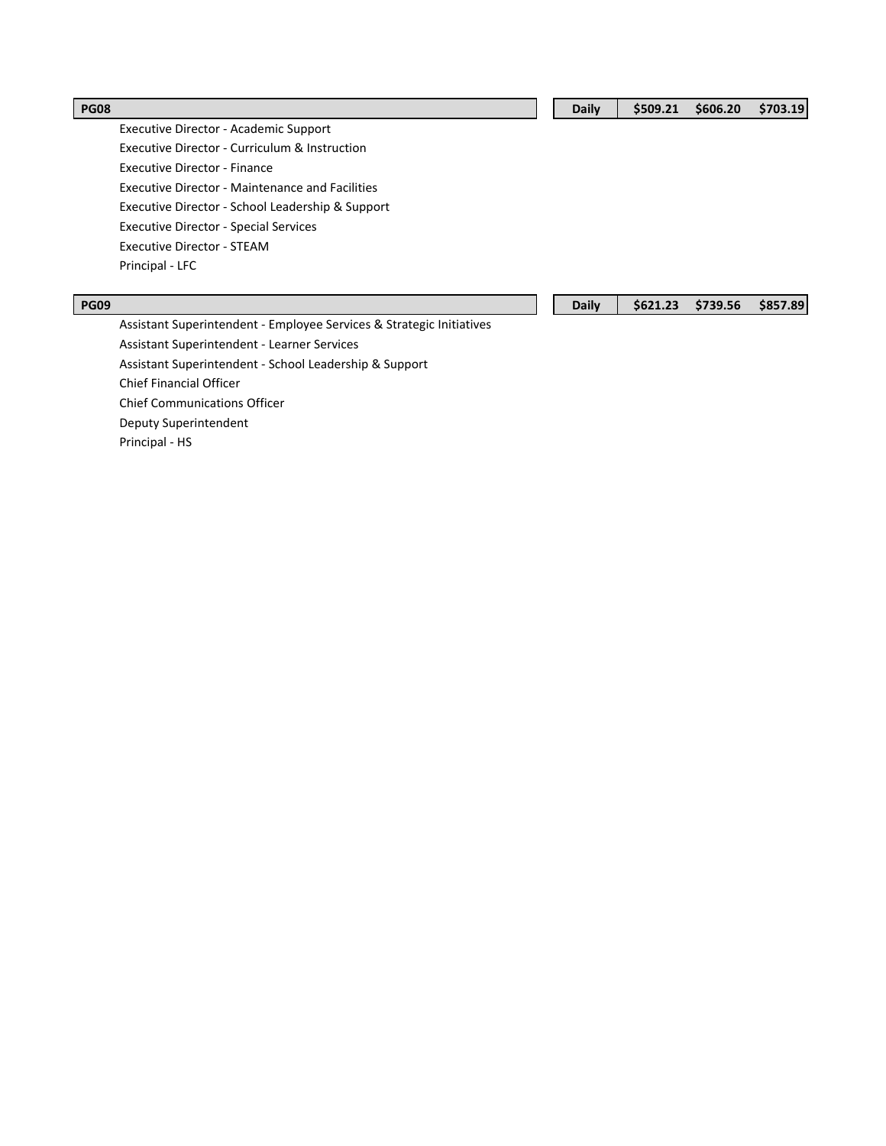Executive Director - Academic Support Executive Director - Curriculum & Instruction Executive Director - Finance Executive Director - Maintenance and Facilities Executive Director - School Leadership & Support Executive Director - Special Services Executive Director - STEAM Principal - LFC

Assistant Superintendent - Employee Services & Strategic Initiatives Assistant Superintendent - Learner Services Assistant Superintendent - School Leadership & Support Chief Financial Officer Chief Communications Officer Deputy Superintendent Principal - HS

| <b>PG09</b> |  | Daily   \$621.23 \$739.56 \$857.89 |  |
|-------------|--|------------------------------------|--|
|             |  |                                    |  |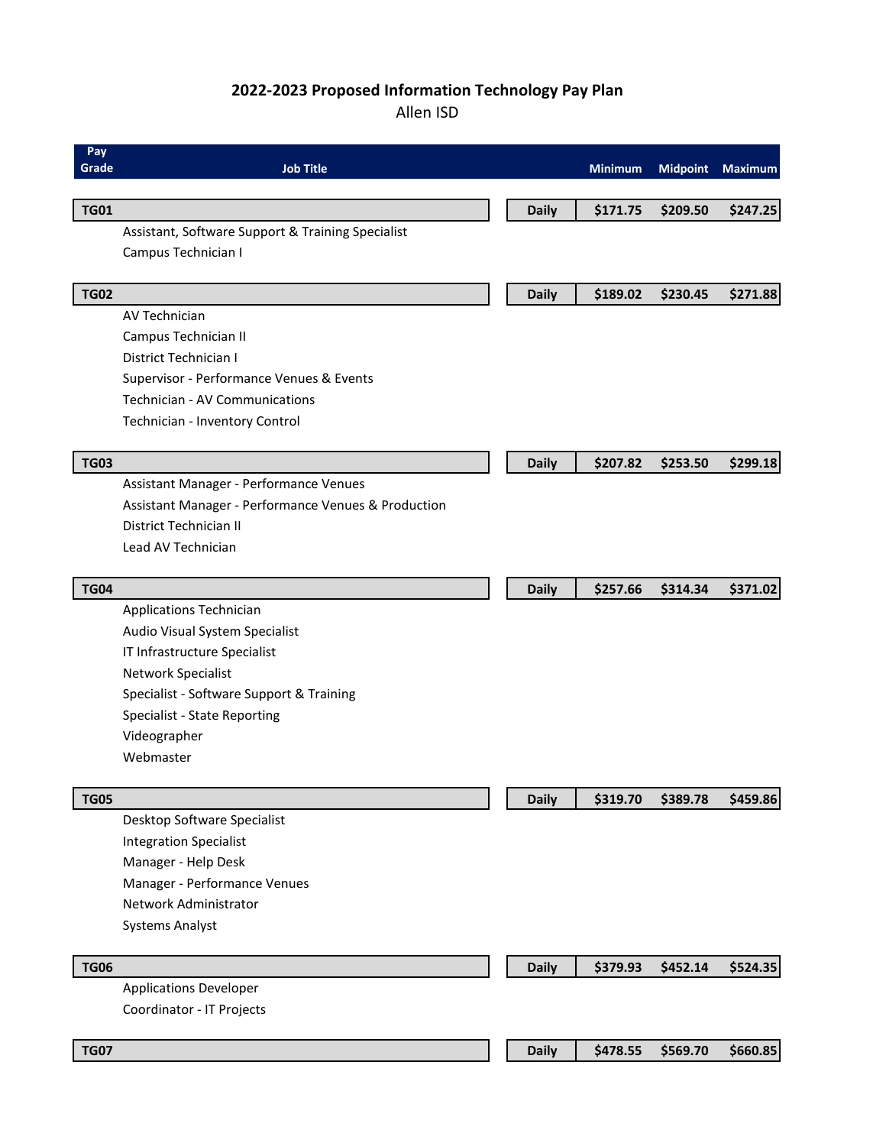# **2022-2023 Proposed Information Technology Pay Plan**

### Allen ISD

| Pay         |                                                     |              |                |                 |                |
|-------------|-----------------------------------------------------|--------------|----------------|-----------------|----------------|
| Grade       | <b>Job Title</b>                                    |              | <b>Minimum</b> | <b>Midpoint</b> | <b>Maximum</b> |
|             |                                                     |              |                |                 |                |
| <b>TG01</b> |                                                     | <b>Daily</b> | \$171.75       | \$209.50        | \$247.25       |
|             | Assistant, Software Support & Training Specialist   |              |                |                 |                |
|             | Campus Technician I                                 |              |                |                 |                |
| <b>TG02</b> |                                                     | <b>Daily</b> | \$189.02       | \$230.45        | \$271.88       |
|             | <b>AV Technician</b>                                |              |                |                 |                |
|             | Campus Technician II                                |              |                |                 |                |
|             | District Technician I                               |              |                |                 |                |
|             | Supervisor - Performance Venues & Events            |              |                |                 |                |
|             | Technician - AV Communications                      |              |                |                 |                |
|             | Technician - Inventory Control                      |              |                |                 |                |
|             |                                                     |              |                |                 |                |
| <b>TG03</b> |                                                     | <b>Daily</b> | \$207.82       | \$253.50        | \$299.18       |
|             | Assistant Manager - Performance Venues              |              |                |                 |                |
|             | Assistant Manager - Performance Venues & Production |              |                |                 |                |
|             | District Technician II                              |              |                |                 |                |
|             | Lead AV Technician                                  |              |                |                 |                |
|             |                                                     |              |                |                 |                |
| <b>TG04</b> |                                                     | <b>Daily</b> | \$257.66       | \$314.34        | \$371.02       |
|             | <b>Applications Technician</b>                      |              |                |                 |                |
|             | Audio Visual System Specialist                      |              |                |                 |                |
|             | IT Infrastructure Specialist                        |              |                |                 |                |
|             | Network Specialist                                  |              |                |                 |                |
|             | Specialist - Software Support & Training            |              |                |                 |                |
|             | Specialist - State Reporting                        |              |                |                 |                |
|             | Videographer                                        |              |                |                 |                |
|             | Webmaster                                           |              |                |                 |                |
|             |                                                     |              |                |                 |                |
| <b>TG05</b> |                                                     | <b>Daily</b> | \$319.70       | \$389.78        | \$459.86       |
|             | Desktop Software Specialist                         |              |                |                 |                |
|             | <b>Integration Specialist</b>                       |              |                |                 |                |
|             | Manager - Help Desk                                 |              |                |                 |                |
|             | Manager - Performance Venues                        |              |                |                 |                |
|             | Network Administrator                               |              |                |                 |                |
|             | <b>Systems Analyst</b>                              |              |                |                 |                |
| <b>TG06</b> |                                                     | <b>Daily</b> | \$379.93       | \$452.14        | \$524.35       |
|             | <b>Applications Developer</b>                       |              |                |                 |                |
|             | Coordinator - IT Projects                           |              |                |                 |                |
|             |                                                     |              |                |                 |                |
| <b>TG07</b> |                                                     | <b>Daily</b> | \$478.55       | \$569.70        | \$660.85       |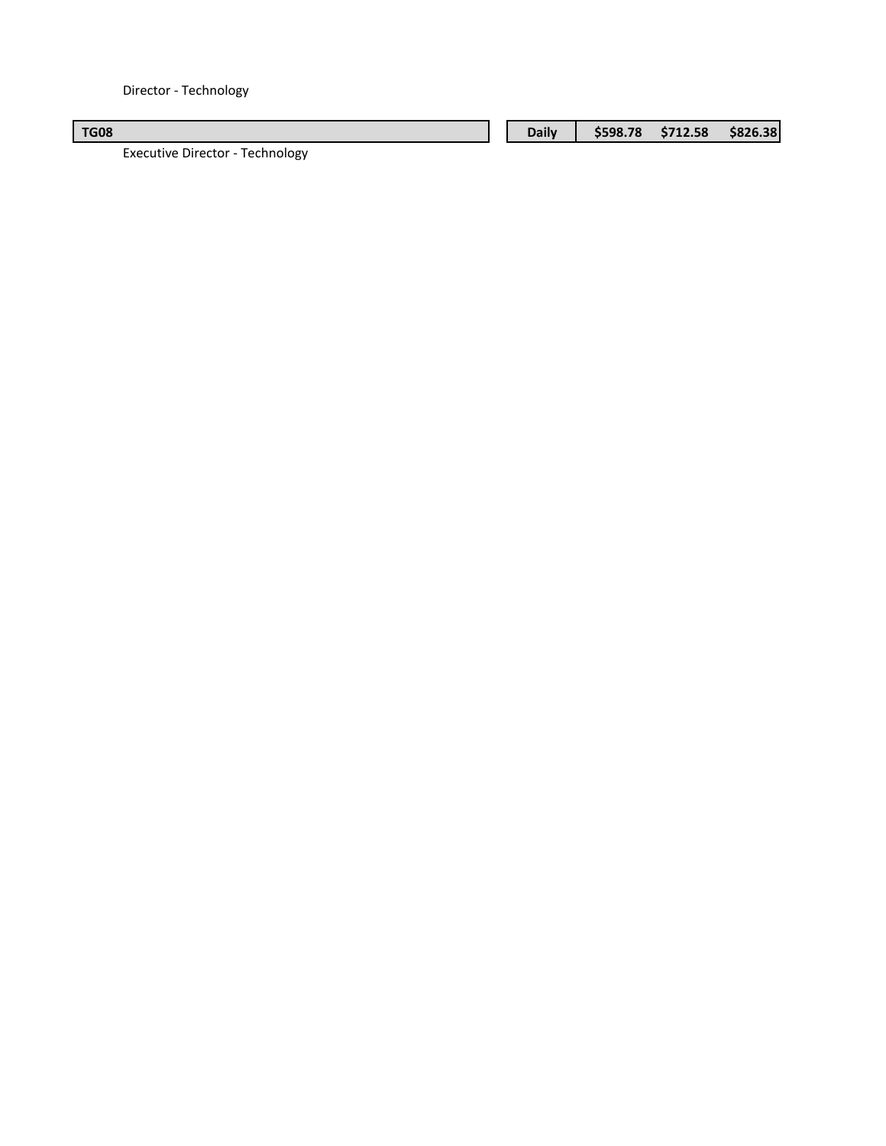Director - Technology

| <b>TG08</b>                          | <b>Daily</b> | \$598.78 | \$712.58 | \$826.38 |
|--------------------------------------|--------------|----------|----------|----------|
| tua authua Diva atau - Taabu alamu - |              |          |          |          |

Executive Director - Technology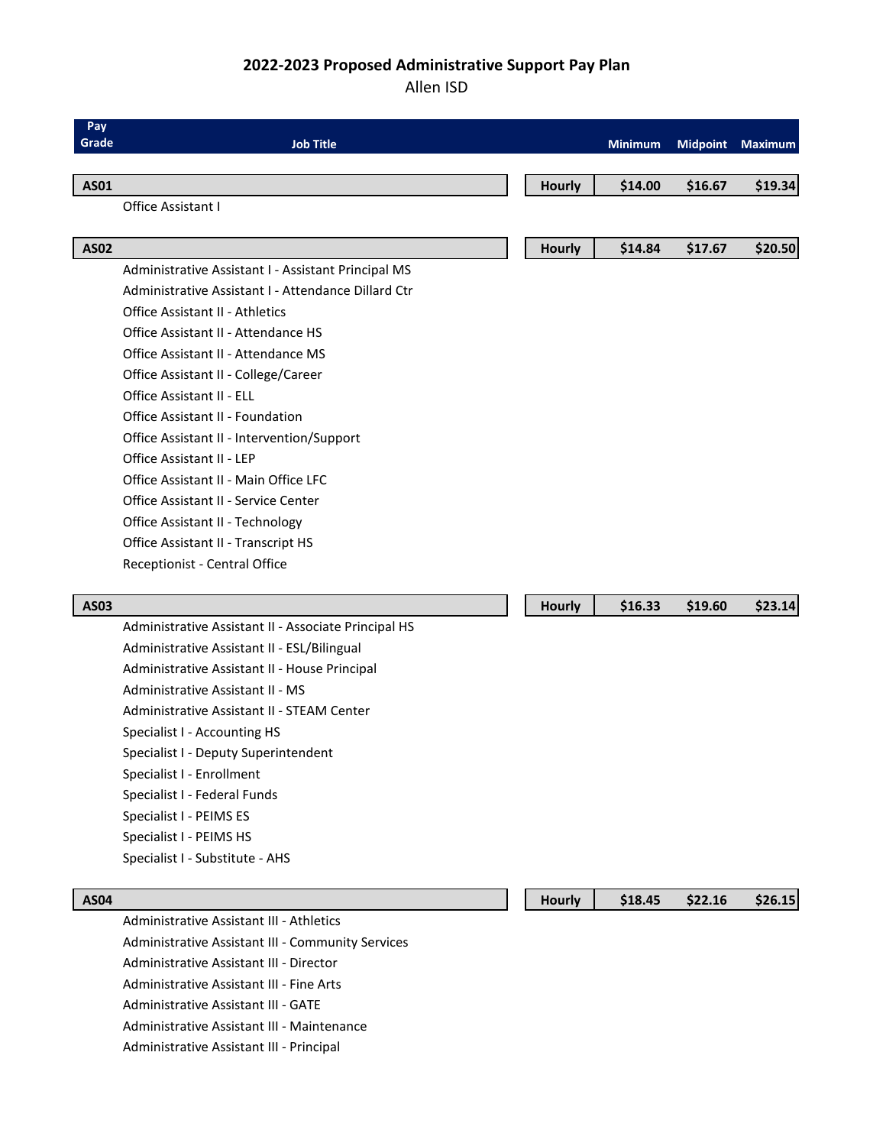# **2022-2023 Proposed Administrative Support Pay Plan**

### Allen ISD

| Pay         |                                                                                              |               |                |                 |                |
|-------------|----------------------------------------------------------------------------------------------|---------------|----------------|-----------------|----------------|
| Grade       | <b>Job Title</b>                                                                             |               | <b>Minimum</b> | <b>Midpoint</b> | <b>Maximum</b> |
| <b>AS01</b> |                                                                                              | <b>Hourly</b> | \$14.00        | \$16.67         | \$19.34        |
|             | Office Assistant I                                                                           |               |                |                 |                |
|             |                                                                                              |               |                |                 |                |
| <b>AS02</b> |                                                                                              | <b>Hourly</b> | \$14.84        | \$17.67         | \$20.50        |
|             | Administrative Assistant I - Assistant Principal MS                                          |               |                |                 |                |
|             | Administrative Assistant I - Attendance Dillard Ctr                                          |               |                |                 |                |
|             | <b>Office Assistant II - Athletics</b>                                                       |               |                |                 |                |
|             | Office Assistant II - Attendance HS                                                          |               |                |                 |                |
|             | Office Assistant II - Attendance MS                                                          |               |                |                 |                |
|             | Office Assistant II - College/Career                                                         |               |                |                 |                |
|             | <b>Office Assistant II - ELL</b>                                                             |               |                |                 |                |
|             | <b>Office Assistant II - Foundation</b>                                                      |               |                |                 |                |
|             | Office Assistant II - Intervention/Support                                                   |               |                |                 |                |
|             | Office Assistant II - LEP                                                                    |               |                |                 |                |
|             | Office Assistant II - Main Office LFC                                                        |               |                |                 |                |
|             | <b>Office Assistant II - Service Center</b>                                                  |               |                |                 |                |
|             | Office Assistant II - Technology                                                             |               |                |                 |                |
|             | Office Assistant II - Transcript HS                                                          |               |                |                 |                |
|             | Receptionist - Central Office                                                                |               |                |                 |                |
|             |                                                                                              |               |                |                 |                |
| <b>AS03</b> |                                                                                              | Hourly        | \$16.33        | \$19.60         | \$23.14        |
|             | Administrative Assistant II - Associate Principal HS                                         |               |                |                 |                |
|             | Administrative Assistant II - ESL/Bilingual                                                  |               |                |                 |                |
|             | Administrative Assistant II - House Principal                                                |               |                |                 |                |
|             | Administrative Assistant II - MS                                                             |               |                |                 |                |
|             | Administrative Assistant II - STEAM Center                                                   |               |                |                 |                |
|             | Specialist I - Accounting HS                                                                 |               |                |                 |                |
|             | Specialist I - Deputy Superintendent                                                         |               |                |                 |                |
|             | Specialist I - Enrollment                                                                    |               |                |                 |                |
|             | Specialist I - Federal Funds                                                                 |               |                |                 |                |
|             | Specialist I - PEIMS ES                                                                      |               |                |                 |                |
|             | Specialist I - PEIMS HS                                                                      |               |                |                 |                |
|             | Specialist I - Substitute - AHS                                                              |               |                |                 |                |
|             |                                                                                              |               |                |                 |                |
| <b>AS04</b> | Administrative Assistant III - Athletics                                                     | <b>Hourly</b> | \$18.45        | \$22.16         | \$26.15        |
|             |                                                                                              |               |                |                 |                |
|             | Administrative Assistant III - Community Services<br>Administrative Assistant III - Director |               |                |                 |                |
|             | Administrative Assistant III - Fine Arts                                                     |               |                |                 |                |
|             |                                                                                              |               |                |                 |                |

Administrative Assistant III - GATE

Administrative Assistant III - Maintenance

Administrative Assistant III - Principal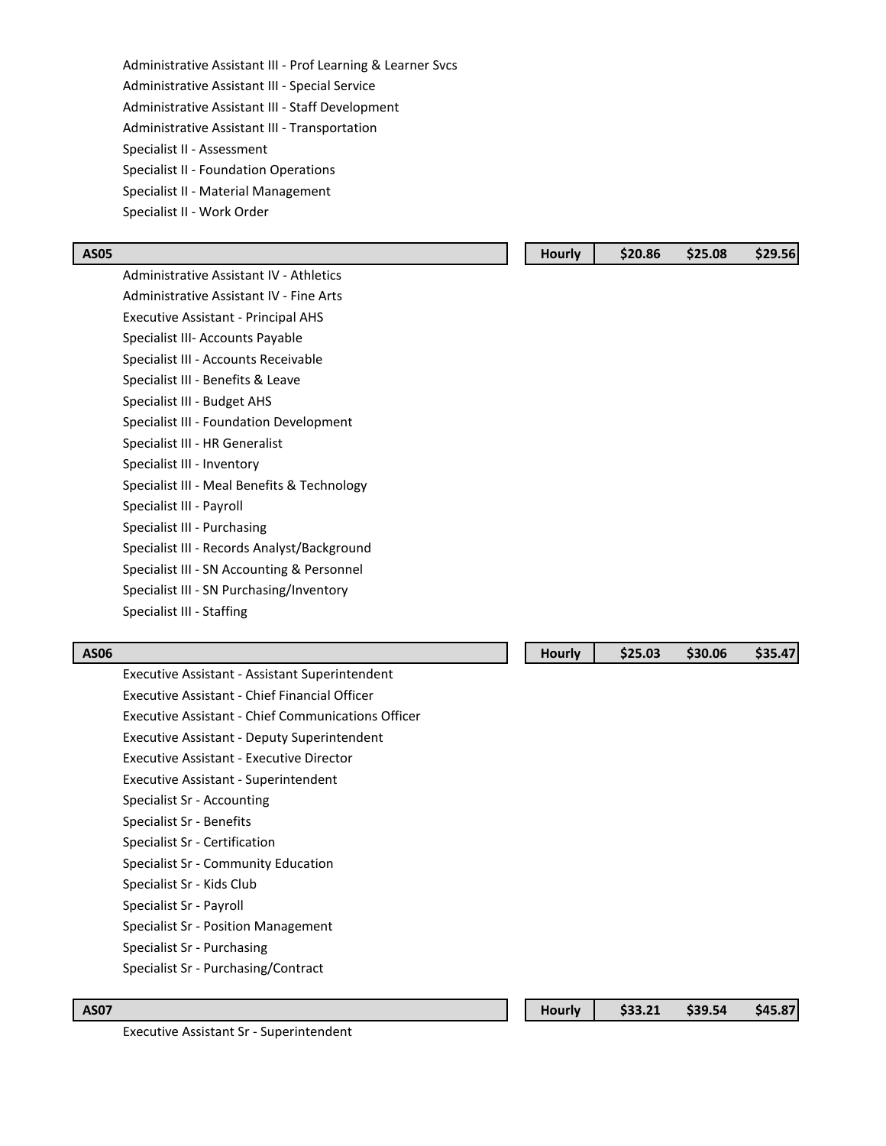Administrative Assistant III - Prof Learning & Learner Svcs Administrative Assistant III - Special Service Administrative Assistant III - Staff Development Administrative Assistant III - Transportation Specialist II - Assessment Specialist II - Foundation Operations Specialist II - Material Management Specialist II - Work Order

Administrative Assistant IV - Athletics Administrative Assistant IV - Fine Arts Executive Assistant - Principal AHS Specialist III- Accounts Payable Specialist III - Accounts Receivable Specialist III - Benefits & Leave Specialist III - Budget AHS Specialist III - Foundation Development Specialist III - HR Generalist Specialist III - Inventory Specialist III - Meal Benefits & Technology Specialist III - Payroll Specialist III - Purchasing Specialist III - Records Analyst/Background Specialist III - SN Accounting & Personnel Specialist III - SN Purchasing/Inventory Specialist III - Staffing

#### **AS06 Hourly \$25.03 \$30.06 \$35.47**

Executive Assistant - Assistant Superintendent

Executive Assistant - Chief Financial Officer

- Executive Assistant Chief Communications Officer
- Executive Assistant Deputy Superintendent
- Executive Assistant Executive Director
- Executive Assistant Superintendent
- Specialist Sr Accounting
- Specialist Sr Benefits
- Specialist Sr Certification
- Specialist Sr Community Education
- Specialist Sr Kids Club
- Specialist Sr Payroll
- Specialist Sr Position Management
- Specialist Sr Purchasing
- Specialist Sr Purchasing/Contract

**AS07 Hourly \$33.21 \$39.54 \$45.87**

Executive Assistant Sr - Superintendent

|--|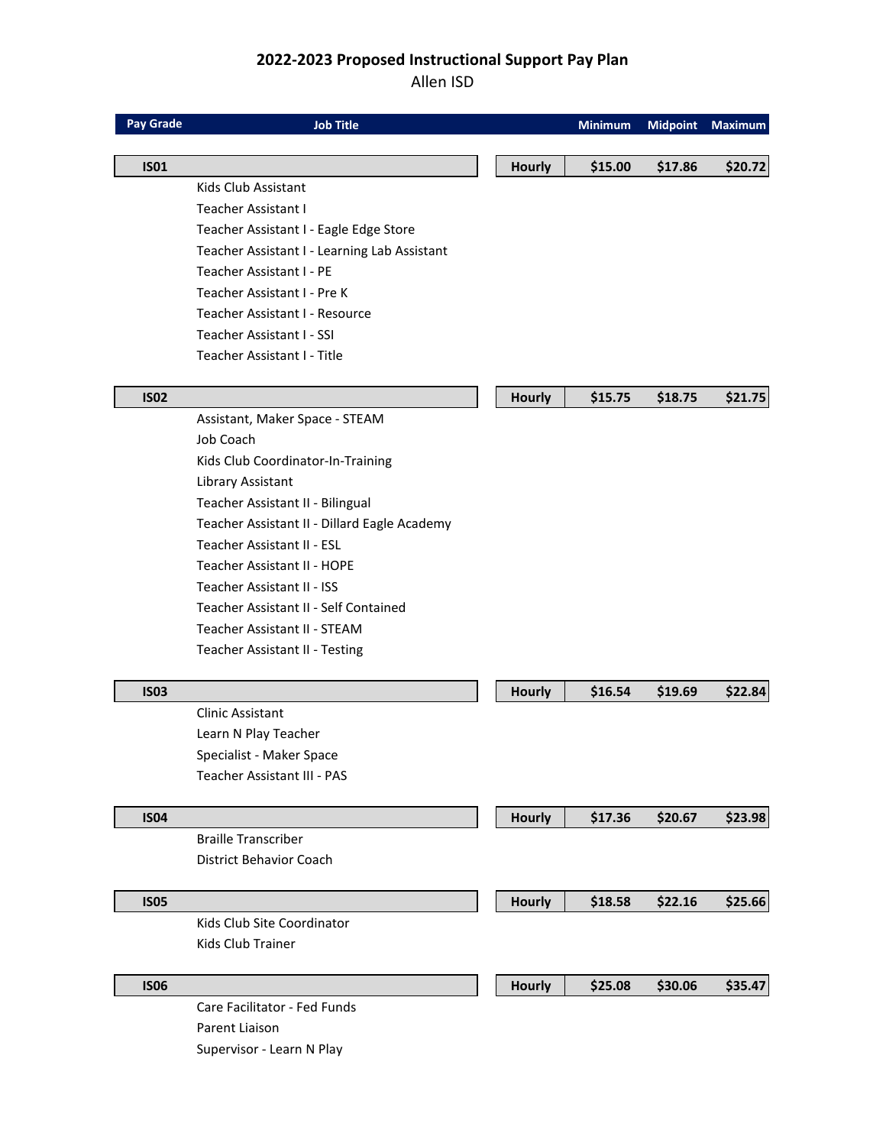# **2022-2023 Proposed Instructional Support Pay Plan**

## Allen ISD

| <b>Pay Grade</b> | <b>Job Title</b>                             |               | <b>Minimum</b> | <b>Midpoint</b> | <b>Maximum</b> |
|------------------|----------------------------------------------|---------------|----------------|-----------------|----------------|
|                  |                                              |               |                |                 |                |
| <b>ISO1</b>      |                                              | <b>Hourly</b> | \$15.00        | \$17.86         | \$20.72        |
|                  | Kids Club Assistant<br>Teacher Assistant I   |               |                |                 |                |
|                  | Teacher Assistant I - Eagle Edge Store       |               |                |                 |                |
|                  | Teacher Assistant I - Learning Lab Assistant |               |                |                 |                |
|                  | Teacher Assistant I - PE                     |               |                |                 |                |
|                  | Teacher Assistant I - Pre K                  |               |                |                 |                |
|                  | Teacher Assistant I - Resource               |               |                |                 |                |
|                  | Teacher Assistant I - SSI                    |               |                |                 |                |
|                  | Teacher Assistant I - Title                  |               |                |                 |                |
|                  |                                              |               |                |                 |                |
| <b>ISO2</b>      |                                              | <b>Hourly</b> | \$15.75        | \$18.75         | \$21.75        |
|                  | Assistant, Maker Space - STEAM               |               |                |                 |                |
|                  | Job Coach                                    |               |                |                 |                |
|                  | Kids Club Coordinator-In-Training            |               |                |                 |                |
|                  | Library Assistant                            |               |                |                 |                |
|                  | Teacher Assistant II - Bilingual             |               |                |                 |                |
|                  | Teacher Assistant II - Dillard Eagle Academy |               |                |                 |                |
|                  | Teacher Assistant II - ESL                   |               |                |                 |                |
|                  | Teacher Assistant II - HOPE                  |               |                |                 |                |
|                  | Teacher Assistant II - ISS                   |               |                |                 |                |
|                  | Teacher Assistant II - Self Contained        |               |                |                 |                |
|                  | <b>Teacher Assistant II - STEAM</b>          |               |                |                 |                |
|                  | Teacher Assistant II - Testing               |               |                |                 |                |
| <b>ISO3</b>      |                                              | <b>Hourly</b> | \$16.54        | \$19.69         | \$22.84        |
|                  | <b>Clinic Assistant</b>                      |               |                |                 |                |
|                  | Learn N Play Teacher                         |               |                |                 |                |
|                  | Specialist - Maker Space                     |               |                |                 |                |
|                  | Teacher Assistant III - PAS                  |               |                |                 |                |
|                  |                                              |               |                |                 |                |
| <b>IS04</b>      |                                              | <b>Hourly</b> | \$17.36        | \$20.67         | \$23.98        |
|                  | <b>Braille Transcriber</b>                   |               |                |                 |                |
|                  | <b>District Behavior Coach</b>               |               |                |                 |                |
| <b>IS05</b>      |                                              | <b>Hourly</b> | \$18.58        | \$22.16         | \$25.66        |
|                  | Kids Club Site Coordinator                   |               |                |                 |                |
|                  | <b>Kids Club Trainer</b>                     |               |                |                 |                |
|                  |                                              |               |                |                 |                |
| <b>ISO6</b>      |                                              | <b>Hourly</b> | \$25.08        | \$30.06         | \$35.47        |
|                  | Care Facilitator - Fed Funds                 |               |                |                 |                |
|                  | Parent Liaison                               |               |                |                 |                |
|                  | Supervisor - Learn N Play                    |               |                |                 |                |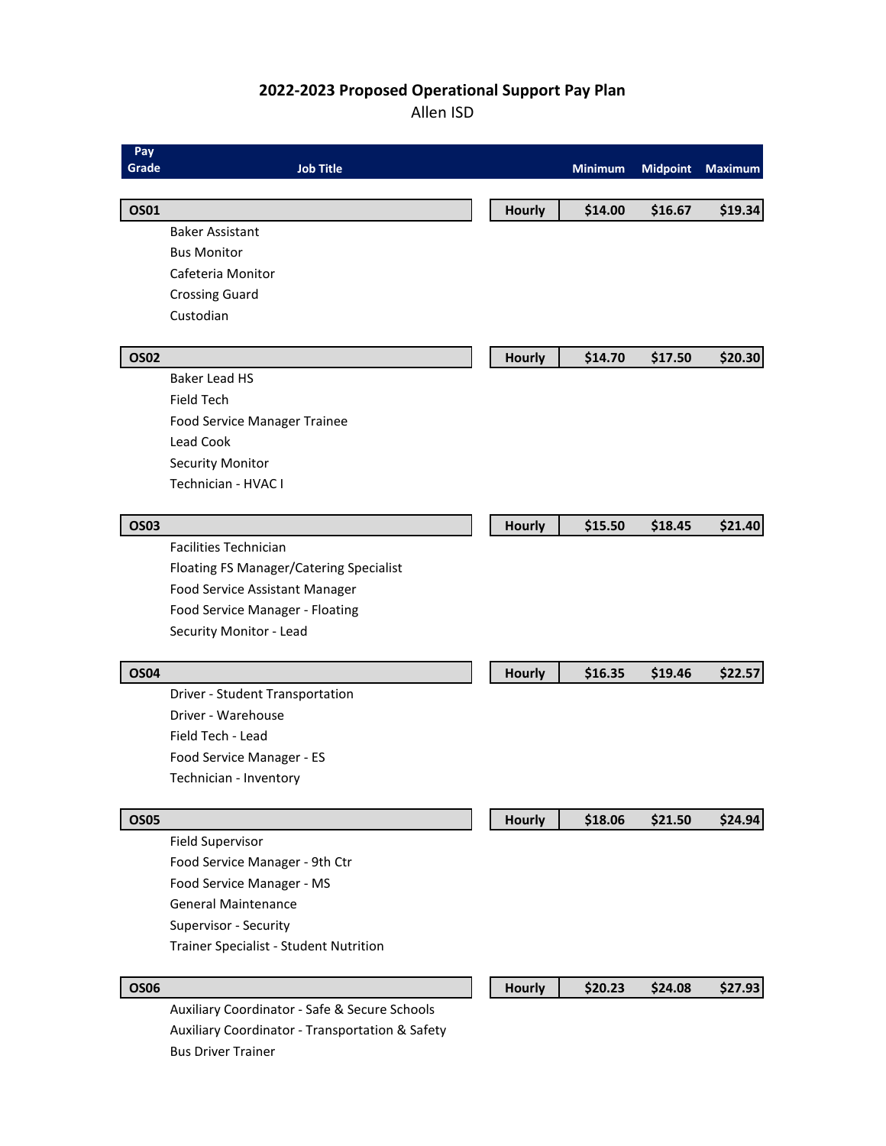# **2022-2023 Proposed Operational Support Pay Plan**

Allen ISD

| Pay<br><b>Grade</b> | <b>Job Title</b>                                |               | Minimum | <b>Midpoint</b> | <b>Maximum</b> |
|---------------------|-------------------------------------------------|---------------|---------|-----------------|----------------|
| <b>OS01</b>         |                                                 | <b>Hourly</b> | \$14.00 | \$16.67         | \$19.34        |
|                     | <b>Baker Assistant</b>                          |               |         |                 |                |
|                     | <b>Bus Monitor</b>                              |               |         |                 |                |
|                     | Cafeteria Monitor                               |               |         |                 |                |
|                     | <b>Crossing Guard</b>                           |               |         |                 |                |
|                     | Custodian                                       |               |         |                 |                |
| <b>OS02</b>         |                                                 | <b>Hourly</b> | \$14.70 | \$17.50         | \$20.30        |
|                     | <b>Baker Lead HS</b>                            |               |         |                 |                |
|                     | <b>Field Tech</b>                               |               |         |                 |                |
|                     | Food Service Manager Trainee                    |               |         |                 |                |
|                     | Lead Cook                                       |               |         |                 |                |
|                     | <b>Security Monitor</b>                         |               |         |                 |                |
|                     | Technician - HVAC I                             |               |         |                 |                |
| <b>OS03</b>         |                                                 | <b>Hourly</b> | \$15.50 | \$18.45         | \$21.40        |
|                     | <b>Facilities Technician</b>                    |               |         |                 |                |
|                     | Floating FS Manager/Catering Specialist         |               |         |                 |                |
|                     | Food Service Assistant Manager                  |               |         |                 |                |
|                     | Food Service Manager - Floating                 |               |         |                 |                |
|                     | Security Monitor - Lead                         |               |         |                 |                |
| <b>OS04</b>         |                                                 | <b>Hourly</b> | \$16.35 | \$19.46         | \$22.57        |
|                     | Driver - Student Transportation                 |               |         |                 |                |
|                     | Driver - Warehouse                              |               |         |                 |                |
|                     | Field Tech - Lead                               |               |         |                 |                |
|                     | Food Service Manager - ES                       |               |         |                 |                |
|                     | Technician - Inventory                          |               |         |                 |                |
| <b>OS05</b>         |                                                 | <b>Hourly</b> | \$18.06 | \$21.50         | \$24.94        |
|                     | <b>Field Supervisor</b>                         |               |         |                 |                |
|                     | Food Service Manager - 9th Ctr                  |               |         |                 |                |
|                     | Food Service Manager - MS                       |               |         |                 |                |
|                     | <b>General Maintenance</b>                      |               |         |                 |                |
|                     | Supervisor - Security                           |               |         |                 |                |
|                     | Trainer Specialist - Student Nutrition          |               |         |                 |                |
| <b>OS06</b>         |                                                 | <b>Hourly</b> | \$20.23 | \$24.08         | \$27.93        |
|                     | Auxiliary Coordinator - Safe & Secure Schools   |               |         |                 |                |
|                     | Auxiliary Coordinator - Transportation & Safety |               |         |                 |                |
|                     | <b>Bus Driver Trainer</b>                       |               |         |                 |                |